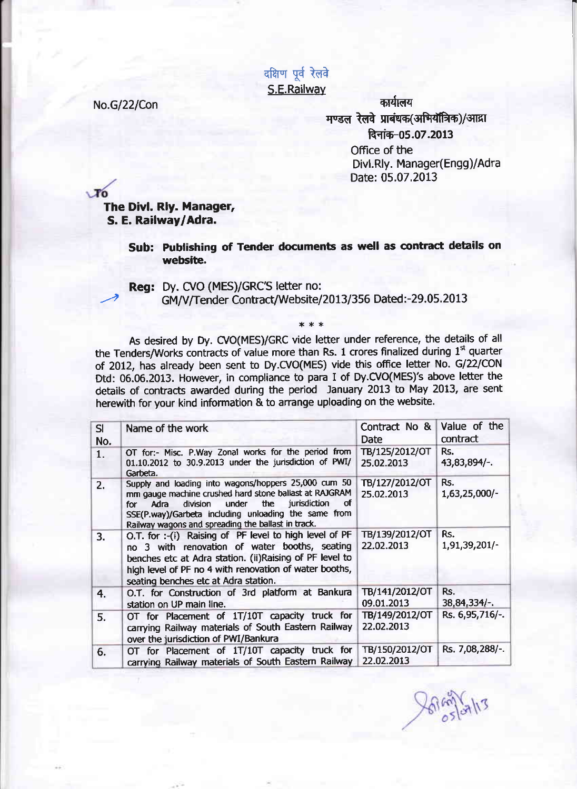दक्षिण पूर्व रेलवे S.E.Railwav

No.G/22/Con कार्यालय मण्डल रेलवे प्राबंधक (अभियाँत्रिक)/आद्रा दिनांक-05.07.2013 Office of the Divl.Rly. Manager(Engg)/Adra Date: 05.07.2013

 $\mathbf{r}$ 

## The Divl. Rly. Manager, S. E. Railway lAdra.

## Sub: Publishing of Tender documents as well as contract details on website,

## Reg: Dy. CVO (MES)/GRC'S letter no: GM/V/Tender Contract/Website/2013/356 Dated:-29.05.2013

\*\*\*

As desired by Dy. CVO(MES)/GRC vide letter under reference, the details of all the Tenders/Works contracts of value more than Rs. 1 crores finalized during 1<sup>st</sup> quarter of 2012, has already been sent to Dy.CVO(MES) vide this office letter No. G/22/CON Dtd: 06.06.2013. However, in compliance to para I of Dy.CVO(MES)'s above letter the details of contracts awarded during the period January 2013 to May 2013, are sent herewith for your kind information & to arrange uploading on the website.

| SI  | Name of the work                                                                                                                                                                                                                                                                                | Contract No &<br>Date        | Value of the<br>contract |
|-----|-------------------------------------------------------------------------------------------------------------------------------------------------------------------------------------------------------------------------------------------------------------------------------------------------|------------------------------|--------------------------|
| No. |                                                                                                                                                                                                                                                                                                 |                              |                          |
| 1.  | OT for:- Misc. P.Way Zonal works for the period from<br>01.10.2012 to 30.9.2013 under the jurisdiction of PWI/<br>Garbeta.                                                                                                                                                                      | TB/125/2012/OT<br>25.02.2013 | Rs.<br>$43,83,894/-.$    |
| 2.  | Supply and loading into wagons/hoppers 25,000 cum 50<br>mm gauge machine crushed hard stone ballast at RAJGRAM<br>jurisdiction<br>under<br>the<br>division<br>σf<br>Adra<br>for l<br>SSE(P.way)/Garbeta including unloading the same from<br>Railway wagons and spreading the ballast in track. | TB/127/2012/OT<br>25.02.2013 | Rs.<br>1,63,25,000/-     |
| 3.  | O.T. for :- (i) Raising of PF level to high level of PF<br>no 3 with renovation of water booths, seating<br>benches etc at Adra station. (ii)Raising of PF level to<br>high level of PF no 4 with renovation of water booths,<br>seating benches etc at Adra station.                           | TB/139/2012/OT<br>22.02.2013 | Rs.<br>1,91,39,201/-     |
| 4.  | O.T. for Construction of 3rd platform at Bankura<br>station on UP main line.                                                                                                                                                                                                                    | TB/141/2012/OT<br>09.01.2013 | Rs.<br>$38,84,334/-.$    |
| 5.  | OT for Placement of 1T/10T capacity truck for<br>carrying Railway materials of South Eastern Railway<br>over the jurisdiction of PWI/Bankura                                                                                                                                                    | TB/149/2012/OT<br>22.02.2013 | Rs. 6,95,716/-.          |
| 6.  | OT for Placement of 1T/10T capacity truck for<br>carrying Railway materials of South Eastern Railway                                                                                                                                                                                            | TB/150/2012/OT<br>22.02.2013 | Rs. 7,08,288/-.          |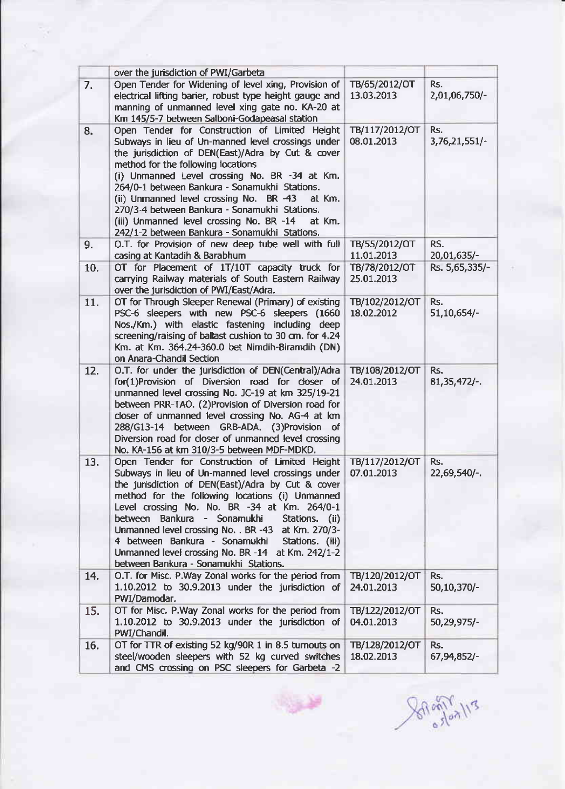|     | over the jurisdiction of PWI/Garbeta                                                                                                                                                                                                                                                                                                                                                                                                                                                                                     |                              |                       |
|-----|--------------------------------------------------------------------------------------------------------------------------------------------------------------------------------------------------------------------------------------------------------------------------------------------------------------------------------------------------------------------------------------------------------------------------------------------------------------------------------------------------------------------------|------------------------------|-----------------------|
| 7.  | Open Tender for Widening of level xing, Provision of<br>electrical lifting barier, robust type height gauge and<br>manning of unmanned level xing gate no. KA-20 at<br>Km 145/5-7 between Salboni-Godapeasal station                                                                                                                                                                                                                                                                                                     | TB/65/2012/OT<br>13.03.2013  | Rs.<br>2,01,06,750/-  |
| 8.  | Open Tender for Construction of Limited Height<br>Subways in lieu of Un-manned level crossings under<br>the jurisdiction of DEN(East)/Adra by Cut & cover<br>method for the following locations<br>(i) Unmanned Level crossing No. BR -34 at Km.<br>264/0-1 between Bankura - Sonamukhi Stations.<br>(ii) Unmanned level crossing No. BR -43<br>at Km.<br>270/3-4 between Bankura - Sonamukhi Stations.<br>(iii) Unmanned level crossing No. BR -14<br>at Km.                                                            | TB/117/2012/OT<br>08.01.2013 | Rs.<br>3,76,21,551/   |
| 9.  | 242/1-2 between Bankura - Sonamukhi Stations.<br>O.T. for Provision of new deep tube well with full<br>casing at Kantadih & Barabhum                                                                                                                                                                                                                                                                                                                                                                                     | TB/55/2012/OT<br>11.01.2013  | RS.<br>20,01,635/-    |
| 10. | OT for Placement of 1T/10T capacity truck for<br>carrying Railway materials of South Eastern Railway<br>over the jurisdiction of PWI/East/Adra.                                                                                                                                                                                                                                                                                                                                                                          | TB/78/2012/OT<br>25.01.2013  | Rs. 5,65,335/-        |
| 11. | OT for Through Sleeper Renewal (Primary) of existing<br>PSC-6 sleepers with new PSC-6 sleepers (1660<br>Nos./Km.) with elastic fastening including deep<br>screening/raising of ballast cushion to 30 cm. for 4.24<br>Km. at Km. 364.24-360.0 bet Nimdih-Biramdih (DN)<br>on Anara-Chandil Section                                                                                                                                                                                                                       | TB/102/2012/OT<br>18.02.2012 | Rs.<br>$51,10,654/-$  |
| 12. | O.T. for under the jurisdiction of DEN(Central)/Adra<br>for(1)Provision of Diversion road for closer of<br>unmanned level crossing No. JC-19 at km 325/19-21<br>between PRR-TAO. (2)Provision of Diversion road for<br>closer of unmanned level crossing No. AG-4 at km<br>288/G13-14 between GRB-ADA. (3)Provision of<br>Diversion road for closer of unmanned level crossing<br>No. KA-156 at km 310/3-5 between MDF-MDKD.                                                                                             | TB/108/2012/OT<br>24.01.2013 | Rs.<br>$81,35,472/-.$ |
| 13. | Open Tender for Construction of Limited Height<br>Subways in lieu of Un-manned level crossings under<br>the jurisdiction of DEN(East)/Adra by Cut & cover<br>method for the following locations (i) Unmanned<br>Level crossing No. No. BR -34 at Km. 264/0-1<br>between<br>Bankura - Sonamukhi<br>Stations. (ii)<br>Unmanned level crossing No. . BR -43 at Km. 270/3-<br>4 between Bankura - Sonamukhi<br>Stations. (iii)<br>Unmanned level crossing No. BR -14 at Km. 242/1-2<br>between Bankura - Sonamukhi Stations. | TB/117/2012/OT<br>07.01.2013 | Rs.<br>22,69,540/-.   |
| 14. | O.T. for Misc. P.Way Zonal works for the period from<br>1.10.2012 to 30.9.2013 under the jurisdiction of<br>PWI/Damodar.                                                                                                                                                                                                                                                                                                                                                                                                 | TB/120/2012/OT<br>24.01.2013 | Rs.<br>50,10,370/-    |
| 15. | OT for Misc. P.Way Zonal works for the period from<br>1.10.2012 to 30.9.2013 under the jurisdiction of<br>PWI/Chandil.                                                                                                                                                                                                                                                                                                                                                                                                   | TB/122/2012/OT<br>04.01.2013 | Rs.<br>50,29,975/-    |
| 16. | OT for TTR of existing 52 kg/90R 1 in 8.5 turnouts on<br>steel/wooden sleepers with 52 kg curved switches<br>and CMS crossing on PSC sleepers for Garbeta -2                                                                                                                                                                                                                                                                                                                                                             | TB/128/2012/OT<br>18.02.2013 | Rs.<br>67,94,852/-    |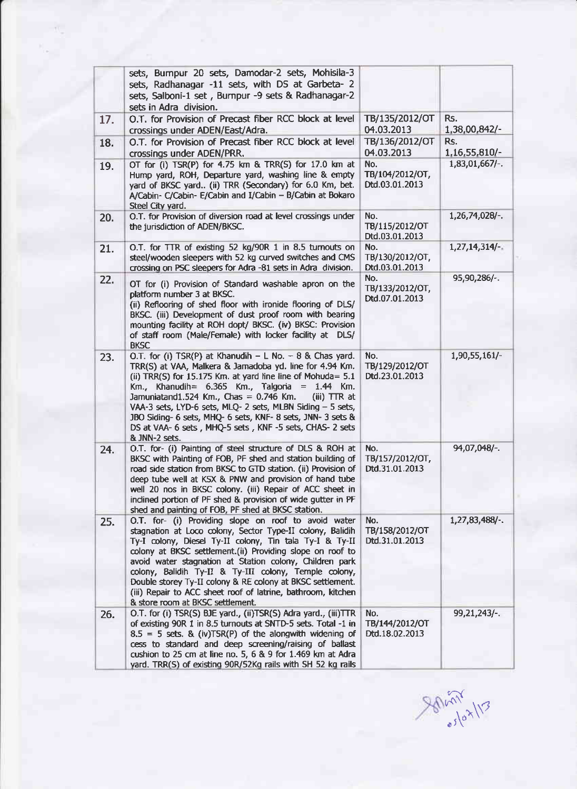|     | sets, Bumpur 20 sets, Damodar-2 sets, Mohisila-3<br>sets, Radhanagar -11 sets, with DS at Garbeta- 2<br>sets, Salboni-1 set, Burnpur -9 sets & Radhanagar-2<br>sets in Adra division.                                                                                                                                                                                                                                                                                                                                           |                                          |                      |
|-----|---------------------------------------------------------------------------------------------------------------------------------------------------------------------------------------------------------------------------------------------------------------------------------------------------------------------------------------------------------------------------------------------------------------------------------------------------------------------------------------------------------------------------------|------------------------------------------|----------------------|
| 17. | O.T. for Provision of Precast fiber RCC block at level<br>crossings under ADEN/East/Adra.                                                                                                                                                                                                                                                                                                                                                                                                                                       | TB/135/2012/OT<br>04.03.2013             | Rs.<br>1,38,00,842/- |
| 18. | O.T. for Provision of Precast fiber RCC block at level<br>crossings under ADEN/PRR.                                                                                                                                                                                                                                                                                                                                                                                                                                             | TB/136/2012/OT<br>04.03.2013             | Rs.<br>1,16,55,810/- |
| 19. | OT for (i) TSR(P) for 4.75 km & TRR(S) for 17.0 km at<br>Hump yard, ROH, Departure yard, washing line & empty<br>yard of BKSC yard (ii) TRR (Secondary) for 6.0 Km, bet.<br>A/Cabin- C/Cabin- E/Cabin and I/Cabin - B/Cabin at Bokaro<br>Steel City yard.                                                                                                                                                                                                                                                                       | No.<br>TB/104/2012/OT,<br>Dtd.03.01.2013 | $1,83,01,667/-.$     |
| 20. | O.T. for Provision of diversion road at level crossings under<br>the jurisdiction of ADEN/BKSC.                                                                                                                                                                                                                                                                                                                                                                                                                                 | No.<br>TB/115/2012/OT<br>Dtd.03.01.2013  | 1,26,74,028/-.       |
| 21. | O.T. for TTR of existing 52 kg/90R 1 in 8.5 turnouts on<br>steel/wooden sleepers with 52 kg curved switches and CMS<br>crossing on PSC sleepers for Adra -81 sets in Adra division.                                                                                                                                                                                                                                                                                                                                             | No.<br>TB/130/2012/OT,<br>Dtd.03.01.2013 | $1,27,14,314/-.$     |
| 22. | OT for (i) Provision of Standard washable apron on the<br>platform number 3 at BKSC.<br>(ii) Reflooring of shed floor with ironide flooring of DLS/<br>BKSC. (iii) Development of dust proof room with bearing<br>mounting facility at ROH dopt/ BKSC. (iv) BKSC: Provision<br>of staff room (Male/Female) with locker facility at DLS/<br><b>BKSC</b>                                                                                                                                                                          | No.<br>TB/133/2012/OT,<br>Dtd.07.01.2013 | 95,90,286/-.         |
| 23. | O.T. for (i) TSR(P) at Khanudih $- L$ No. $- 8$ & Chas yard.<br>TRR(S) at VAA, Malkera & Jamadoba yd. line for 4.94 Km.<br>(ii) TRR(S) for 15.175 Km. at yard line line of Mohuda = $5.1$<br>Km., Khanudih= $6.365$ Km., Talgoria = 1.44 Km.<br>Jamuniatand1.524 Km., Chas = 0.746 Km.<br>$(iii)$ TTR at<br>VAA-3 sets, LYD-6 sets, MLQ- 2 sets, MLBN Siding - 5 sets,<br>JBO Siding- 6 sets, MHQ- 6 sets, KNF- 8 sets, JNN- 3 sets &<br>DS at VAA- 6 sets, MHQ-5 sets, KNF-5 sets, CHAS- 2 sets<br>& JNN-2 sets.               | No.<br>TB/129/2012/OT<br>Dtd.23.01.2013  | 1,90,55,161/-        |
| 24. | O.T. for- (i) Painting of steel structure of DLS & ROH at<br>BKSC with Painting of FOB, PF shed and station building of<br>road side station from BKSC to GTD station. (ii) Provision of<br>deep tube well at KSX & PNW and provision of hand tube<br>well 20 nos in BKSC colony. (iii) Repair of ACC sheet in<br>inclined portion of PF shed & provision of wide gutter in PF<br>shed and painting of FOB, PF shed at BKSC station.                                                                                            | No.<br>TB/157/2012/OT,<br>Dtd.31.01.2013 | 94,07,048/-.         |
| 25. | O.T. for- (i) Providing slope on roof to avoid water<br>stagnation at Loco colony, Sector Type-II colony, Balidih<br>Ty-I colony, Diesel Ty-II colony, Tin tala Ty-I & Ty-II<br>colony at BKSC settlement.(ii) Providing slope on roof to<br>avoid water stagnation at Station colony, Children park<br>colony, Balidih Ty-II & Ty-III colony, Temple colony,<br>Double storey Ty-II colony & RE colony at BKSC settlement.<br>(iii) Repair to ACC sheet roof of latrine, bathroom, kitchen<br>& store room at BKSC settlement. | No.<br>TB/158/2012/OT<br>Dtd.31.01.2013  | 1,27,83,488/-.       |
| 26. | O.T. for (i) TSR(S) BJE yard., (ii)TSR(S) Adra yard., (iii)TTR<br>of existing 90R 1 in 8.5 turnouts at SNTD-5 sets. Total -1 in<br>$8.5 = 5$ sets. & (iv)TSR(P) of the alongwith widening of<br>cess to standard and deep screening/raising of ballast<br>cushion to 25 cm at line no. 5, 6 & 9 for 1.469 km at Adra<br>yard. TRR(S) of existing 90R/52Kg rails with SH 52 kg rails                                                                                                                                             | No.<br>TB/144/2012/OT<br>Dtd.18.02.2013  | 99, 21, 243/-.       |

 $\sum_{i=1}^{N}$  $\int_{0}^{\pi}$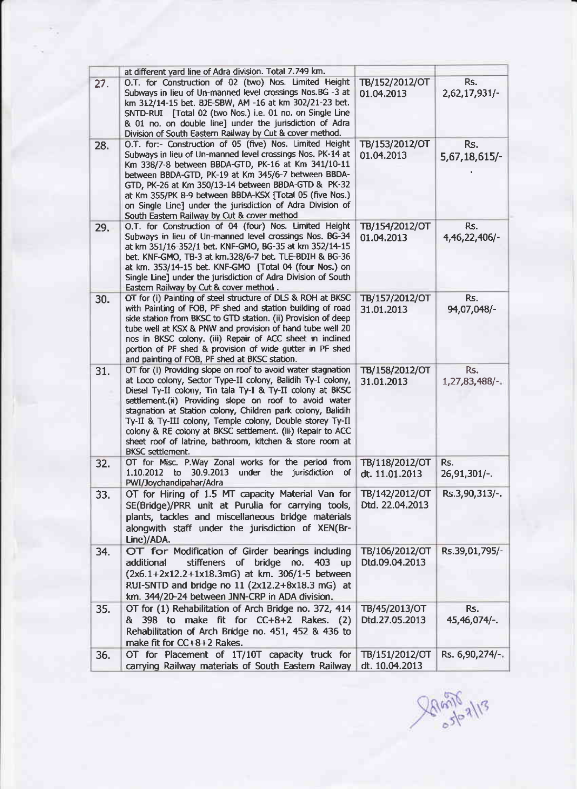|     | at different vard line of Adra division. Total 7.749 km.                                                                                                                                                                                                                                                                                                                                                                                                                                                                            |                                   |                      |
|-----|-------------------------------------------------------------------------------------------------------------------------------------------------------------------------------------------------------------------------------------------------------------------------------------------------------------------------------------------------------------------------------------------------------------------------------------------------------------------------------------------------------------------------------------|-----------------------------------|----------------------|
| 27. | O.T. for Construction of 02 (two) Nos. Limited Height<br>Subways in lieu of Un-manned level crossings Nos. BG -3 at<br>km 312/14-15 bet. BJE-SBW, AM -16 at km 302/21-23 bet.<br>SNTD-RUI [Total 02 (two Nos.) i.e. 01 no. on Single Line<br>& 01 no. on double line] under the jurisdiction of Adra<br>Division of South Eastern Railway by Cut & cover method.                                                                                                                                                                    | TB/152/2012/OT<br>01.04.2013      | Rs.<br>2,62,17,931/- |
| 28. | O.T. for:- Construction of 05 (five) Nos. Limited Height<br>Subways in lieu of Un-manned level crossings Nos. PK-14 at<br>Km 338/7-8 between BBDA-GTD, PK-16 at Km 341/10-11<br>between BBDA-GTD, PK-19 at Km 345/6-7 between BBDA-<br>GTD, PK-26 at Km 350/13-14 between BBDA-GTD & PK-32<br>at Km 355/PK 8-9 between BBDA-KSX [Total 05 (five Nos.)<br>on Single Line] under the jurisdiction of Adra Division of<br>South Eastern Railway by Cut & cover method                                                                  | TB/153/2012/OT<br>01.04.2013      | Rs.<br>5,67,18,615/- |
| 29. | O.T. for Construction of 04 (four) Nos. Limited Height<br>Subways in lieu of Un-manned level crossings Nos. BG-34<br>at km 351/16-352/1 bet. KNF-GMO, BG-35 at km 352/14-15<br>bet. KNF-GMO, TB-3 at km.328/6-7 bet. TLE-BDIH & BG-36<br>at km. 353/14-15 bet. KNF-GMO [Total 04 (four Nos.) on<br>Single Line] under the jurisdiction of Adra Division of South<br>Eastern Railway by Cut & cover method.                                                                                                                          | TB/154/2012/OT<br>01.04.2013      | Rs.<br>4,46,22,406/- |
| 30. | OT for (i) Painting of steel structure of DLS & ROH at BKSC<br>with Painting of FOB, PF shed and station building of road<br>side station from BKSC to GTD station. (ii) Provision of deep<br>tube well at KSX & PNW and provision of hand tube well 20<br>nos in BKSC colony. (iii) Repair of ACC sheet in inclined<br>portion of PF shed & provision of wide gutter in PF shed<br>and painting of FOB, PF shed at BKSC station.                                                                                                   | TB/157/2012/OT<br>31.01.2013      | Rs.<br>94,07,048/-   |
| 31. | OT for (i) Providing slope on roof to avoid water stagnation<br>at Loco colony, Sector Type-II colony, Balidih Ty-I colony,<br>Diesel Ty-II colony, Tin tala Ty-I & Ty-II colony at BKSC<br>settlement.(ii) Providing slope on roof to avoid water<br>stagnation at Station colony, Children park colony, Balidih<br>Ty-II & Ty-III colony, Temple colony, Double storey Ty-II<br>colony & RE colony at BKSC settlement. (iii) Repair to ACC<br>sheet roof of latrine, bathroom, kitchen & store room at<br><b>BKSC</b> settlement. | TB/158/2012/OT<br>31.01.2013      | Rs.<br>1,27,83,488/- |
| 32. | OT for Misc. P.Way Zonal works for the period from<br>under<br>jurisdiction<br>to 30.9.2013<br>the<br>of<br>1.10.2012<br>PWI/Joychandipahar/Adra                                                                                                                                                                                                                                                                                                                                                                                    | TB/118/2012/OT<br>dt. 11.01.2013  | Rs.<br>26,91,301/-.  |
| 33. | OT for Hiring of 1.5 MT capacity Material Van for<br>SE(Bridge)/PRR unit at Purulia for carrying tools,<br>plants, tackles and miscellaneous bridge materials<br>alongwith staff under the jurisdiction of XEN(Br-<br>Line)/ADA.                                                                                                                                                                                                                                                                                                    | TB/142/2012/OT<br>Dtd. 22.04.2013 | Rs.3,90,313/-.       |
| 34. | OT for Modification of Girder bearings including<br>stiffeners of bridge no. 403<br>additional<br><b>up</b><br>(2x6.1+2x12.2+1x18.3mG) at km. 306/1-5 between<br>RUI-SNTD and bridge no 11 (2x12.2+8x18.3 mG) at<br>km. 344/20-24 between JNN-CRP in ADA division.                                                                                                                                                                                                                                                                  | TB/106/2012/OT<br>Dtd.09.04.2013  | Rs.39,01,795/-       |
| 35. | OT for (1) Rehabilitation of Arch Bridge no. 372, 414<br>& 398 to make fit for CC+8+2 Rakes. (2)<br>Rehabilitation of Arch Bridge no. 451, 452 & 436 to<br>make fit for CC+8+2 Rakes.                                                                                                                                                                                                                                                                                                                                               | TB/45/2013/OT<br>Dtd.27.05.2013   | Rs.<br>45,46,074/-.  |
| 36. | OT for Placement of 1T/10T capacity truck for<br>carrying Railway materials of South Eastern Railway                                                                                                                                                                                                                                                                                                                                                                                                                                | TB/151/2012/OT<br>dt. 10.04.2013  | Rs. 6,90,274/-.      |

 $20.56713$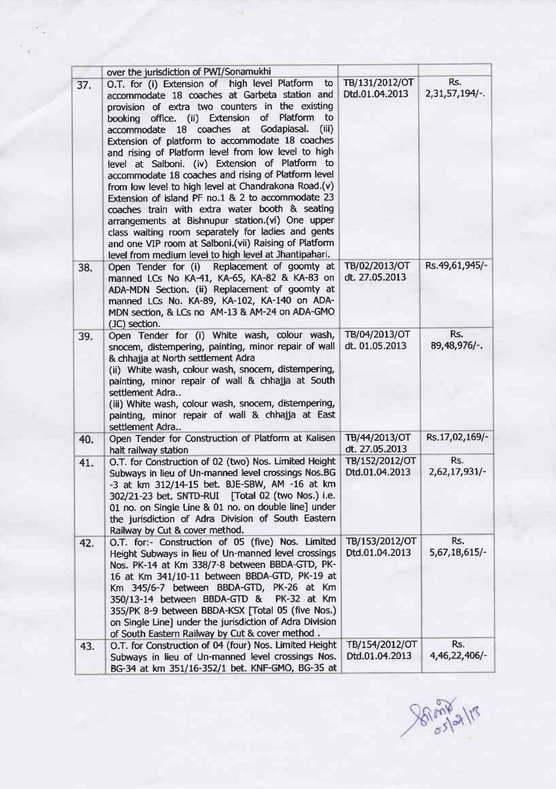|     | over the jurisdiction of PWI/Sonamukhi                                                                                                                                                                                                                                                                                                                                                                                                                                                                                                                                                                                                                                                                                                                                                                                                                                           |                                  |                         |
|-----|----------------------------------------------------------------------------------------------------------------------------------------------------------------------------------------------------------------------------------------------------------------------------------------------------------------------------------------------------------------------------------------------------------------------------------------------------------------------------------------------------------------------------------------------------------------------------------------------------------------------------------------------------------------------------------------------------------------------------------------------------------------------------------------------------------------------------------------------------------------------------------|----------------------------------|-------------------------|
| 37. | O.T. for (i) Extension of high level Platform<br>to<br>accommodate 18 coaches at Garbeta station and<br>provision of extra two counters in the existing<br>booking office. (ii) Extension of<br>Platform<br>to<br>accommodate 18 coaches at Godapiasal.<br>(iii)<br>Extension of platform to accommodate 18 coaches<br>and rising of Platform level from low level to high<br>level at Salboni. (iv) Extension of Platform to<br>accommodate 18 coaches and rising of Platform level<br>from low level to high level at Chandrakona Road.(v)<br>Extension of island PF no.1 & 2 to accommodate 23<br>coaches train with extra water booth & seating<br>arrangements at Bishnupur station.(vi) One upper<br>class waiting room separately for ladies and gents<br>and one VIP room at Salboni.(vii) Raising of Platform<br>level from medium level to high level at Jhantipahari. | TB/131/2012/OT<br>Dtd.01.04.2013 | Rs.<br>$2,31,57,194/-.$ |
| 38. | Open Tender for (i) Replacement of goomty at<br>manned LCs No KA-41, KA-65, KA-82 & KA-83 on<br>ADA-MDN Section. (ii) Replacement of goomty at<br>manned LCs No. KA-89, KA-102, KA-140 on ADA-<br>MDN section, & LCs no AM-13 & AM-24 on ADA-GMO<br>(JC) section.                                                                                                                                                                                                                                                                                                                                                                                                                                                                                                                                                                                                                | TB/02/2013/OT<br>dt. 27.05.2013  | Rs.49,61,945/-          |
| 39. | Open Tender for (i) White wash, colour wash,<br>snocem, distempering, painting, minor repair of wall<br>& chhajja at North settlement Adra<br>(ii) White wash, colour wash, snocem, distempering,<br>painting, minor repair of wall & chhajja at South<br>settlement Adra<br>(iii) White wash, colour wash, snocem, distempering,<br>painting, minor repair of wall & chhajja at East<br>settlement Adra                                                                                                                                                                                                                                                                                                                                                                                                                                                                         | TB/04/2013/OT<br>dt. 01.05.2013  | Rs.<br>89,48,976/-.     |
| 40. | Open Tender for Construction of Platform at Kalisen<br>halt railway station                                                                                                                                                                                                                                                                                                                                                                                                                                                                                                                                                                                                                                                                                                                                                                                                      | TB/44/2013/OT<br>dt. 27.05.2013  | Rs.17,02,169/-          |
| 41. | O.T. for Construction of 02 (two) Nos. Limited Height<br>Subways in lieu of Un-manned level crossings Nos.BG<br>-3 at km 312/14-15 bet. BJE-SBW, AM -16 at km<br>302/21-23 bet. SNTD-RUI [Total 02 (two Nos.) i.e.<br>01 no. on Single Line & 01 no. on double line] under<br>the jurisdiction of Adra Division of South Eastern<br>Railway by Cut & cover method.                                                                                                                                                                                                                                                                                                                                                                                                                                                                                                               | TB/152/2012/OT<br>Dtd.01.04.2013 | Rs.<br>2,62,17,931/-    |
| 42. | O.T. for:- Construction of 05 (five) Nos. Limited<br>Height Subways in lieu of Un-manned level crossings<br>Nos. PK-14 at Km 338/7-8 between BBDA-GTD, PK-<br>16 at Km 341/10-11 between BBDA-GTD, PK-19 at<br>Km 345/6-7 between BBDA-GTD, PK-26 at Km<br>350/13-14 between BBDA-GTD &<br>PK-32 at Km<br>355/PK 8-9 between BBDA-KSX [Total 05 (five Nos.)<br>on Single Line] under the jurisdiction of Adra Division<br>of South Eastern Railway by Cut & cover method.                                                                                                                                                                                                                                                                                                                                                                                                        | TB/153/2012/OT<br>Dtd.01.04.2013 | Rs.<br>5,67,18,615/-    |
| 43. | O.T. for Construction of 04 (four) Nos. Limited Height<br>Subways in lieu of Un-manned level crossings Nos.<br>BG-34 at km 351/16-352/1 bet. KNF-GMO, BG-35 at                                                                                                                                                                                                                                                                                                                                                                                                                                                                                                                                                                                                                                                                                                                   | TB/154/2012/OT<br>Dtd.01.04.2013 | Rs.<br>4,46,22,406/-    |